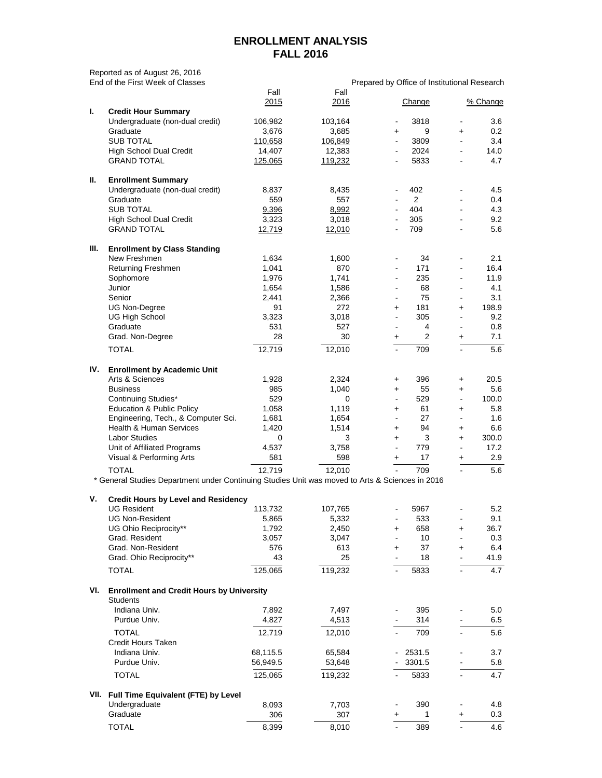## **ENROLLMENT ANALYSIS FALL 2016**

|      | Reported as of August 26, 2016<br>End of the First Week of Classes                              |             |         |                          |                                              |                          |          |
|------|-------------------------------------------------------------------------------------------------|-------------|---------|--------------------------|----------------------------------------------|--------------------------|----------|
|      |                                                                                                 | Fall        | Fall    |                          | Prepared by Office of Institutional Research |                          |          |
|      |                                                                                                 | 2015        | 2016    |                          | Change                                       |                          | % Change |
| L.   | <b>Credit Hour Summary</b>                                                                      |             |         |                          |                                              |                          |          |
|      | Undergraduate (non-dual credit)                                                                 | 106,982     | 103,164 |                          | 3818                                         |                          | 3.6      |
|      | Graduate                                                                                        | 3,676       | 3,685   | $\ddot{}$                | 9                                            | $\ddot{}$                | 0.2      |
|      | <b>SUB TOTAL</b>                                                                                | 110,658     | 106,849 | $\blacksquare$           | 3809                                         |                          | 3.4      |
|      | <b>High School Dual Credit</b>                                                                  | 14,407      | 12,383  | $\blacksquare$           | 2024                                         |                          | 14.0     |
|      | <b>GRAND TOTAL</b>                                                                              | 125,065     | 119,232 |                          | 5833                                         |                          | 4.7      |
|      |                                                                                                 |             |         |                          |                                              |                          |          |
| П.   | <b>Enrollment Summary</b>                                                                       |             |         |                          |                                              |                          |          |
|      | Undergraduate (non-dual credit)                                                                 | 8,837       | 8,435   | ٠                        | 402                                          |                          | 4.5      |
|      | Graduate                                                                                        | 559         | 557     | $\blacksquare$           | $\overline{2}$                               |                          | 0.4      |
|      | <b>SUB TOTAL</b>                                                                                | 9,396       | 8,992   |                          | 404                                          | $\blacksquare$           | 4.3      |
|      | <b>High School Dual Credit</b>                                                                  | 3,323       | 3,018   | $\blacksquare$           | 305                                          |                          | 9.2      |
|      | <b>GRAND TOTAL</b>                                                                              | 12,719      | 12,010  |                          | 709                                          |                          | 5.6      |
|      |                                                                                                 |             |         |                          |                                              |                          |          |
| Ш.   | <b>Enrollment by Class Standing</b>                                                             |             |         |                          |                                              |                          |          |
|      | New Freshmen                                                                                    | 1,634       | 1,600   | $\blacksquare$           | 34                                           |                          | 2.1      |
|      | Returning Freshmen                                                                              | 1,041       | 870     | $\blacksquare$           | 171                                          |                          | 16.4     |
|      | Sophomore                                                                                       | 1,976       | 1,741   |                          | 235                                          |                          | 11.9     |
|      | Junior                                                                                          | 1,654       | 1,586   | $\overline{\phantom{a}}$ | 68                                           |                          | 4.1      |
|      | Senior                                                                                          | 2,441       | 2,366   | $\blacksquare$           | 75                                           |                          | 3.1      |
|      | <b>UG Non-Degree</b>                                                                            | 91          | 272     | +                        | 181                                          | $\ddot{}$                | 198.9    |
|      | <b>UG High School</b>                                                                           | 3,323       | 3,018   | $\blacksquare$           | 305                                          | $\overline{\phantom{a}}$ | 9.2      |
|      | Graduate                                                                                        | 531         | 527     | $\blacksquare$           | 4                                            | $\overline{\phantom{a}}$ | 0.8      |
|      | Grad. Non-Degree                                                                                | 28          | 30      | $\ddot{}$                | $\overline{2}$                               | +                        | 7.1      |
|      |                                                                                                 |             |         |                          |                                              |                          |          |
|      | <b>TOTAL</b>                                                                                    | 12,719      | 12,010  | $\blacksquare$           | 709                                          | $\blacksquare$           | 5.6      |
| IV.  | <b>Enrollment by Academic Unit</b>                                                              |             |         |                          |                                              |                          |          |
|      | Arts & Sciences                                                                                 | 1,928       | 2,324   | $\ddot{}$                | 396                                          | +                        | 20.5     |
|      | <b>Business</b>                                                                                 | 985         | 1,040   | $\ddot{}$                | 55                                           | $\ddot{}$                | 5.6      |
|      | Continuing Studies*                                                                             | 529         | 0       | $\blacksquare$           | 529                                          |                          | 100.0    |
|      | <b>Education &amp; Public Policy</b>                                                            | 1,058       | 1,119   | $+$                      | 61                                           | $\ddot{}$                | 5.8      |
|      | Engineering, Tech., & Computer Sci.                                                             | 1,681       | 1,654   |                          | 27                                           |                          | 1.6      |
|      | <b>Health &amp; Human Services</b>                                                              | 1,420       | 1,514   | +                        | 94                                           | +                        | 6.6      |
|      | <b>Labor Studies</b>                                                                            | $\mathbf 0$ | 3       | $\ddot{}$                | 3                                            | +                        | 300.0    |
|      | Unit of Affiliated Programs                                                                     | 4,537       | 3,758   |                          | 779                                          |                          | 17.2     |
|      | Visual & Performing Arts                                                                        | 581         | 598     | $\ddot{}$                | 17                                           |                          | 2.9      |
|      |                                                                                                 |             |         |                          |                                              | +                        |          |
|      | <b>TOTAL</b>                                                                                    | 12,719      | 12,010  |                          | 709                                          |                          | 5.6      |
|      | * General Studies Department under Continuing Studies Unit was moved to Arts & Sciences in 2016 |             |         |                          |                                              |                          |          |
| V.   | <b>Credit Hours by Level and Residency</b>                                                      |             |         |                          |                                              |                          |          |
|      | <b>UG Resident</b>                                                                              | 113,732     | 107,765 |                          | 5967                                         |                          | 5.2      |
|      | <b>UG Non-Resident</b>                                                                          | 5,865       | 5,332   |                          | 533                                          |                          | 9.1      |
|      | UG Ohio Reciprocity**                                                                           | 1,792       | 2,450   | +                        | 658                                          | +                        | 36.7     |
|      | Grad. Resident                                                                                  | 3,057       | 3,047   |                          | 10                                           |                          | 0.3      |
|      | Grad. Non-Resident                                                                              | 576         | 613     | +                        | 37                                           | +                        | 6.4      |
|      | Grad. Ohio Reciprocity**                                                                        | 43          | 25      |                          | 18                                           |                          | 41.9     |
|      | <b>TOTAL</b>                                                                                    | 125,065     | 119,232 |                          | 5833                                         | $\mathbf{r}$             | 4.7      |
|      |                                                                                                 |             |         |                          |                                              |                          |          |
| VI.  | <b>Enrollment and Credit Hours by University</b>                                                |             |         |                          |                                              |                          |          |
|      | <b>Students</b>                                                                                 |             |         |                          |                                              |                          |          |
|      | Indiana Univ.                                                                                   | 7,892       | 7,497   |                          | 395                                          |                          | 5.0      |
|      | Purdue Univ.                                                                                    | 4,827       | 4,513   |                          | 314                                          |                          | 6.5      |
|      | <b>TOTAL</b>                                                                                    | 12,719      | 12,010  |                          | 709                                          | $\blacksquare$           | 5.6      |
|      | <b>Credit Hours Taken</b>                                                                       |             |         |                          |                                              |                          |          |
|      | Indiana Univ.                                                                                   | 68,115.5    | 65,584  |                          | 2531.5                                       |                          | 3.7      |
|      | Purdue Univ.                                                                                    | 56,949.5    | 53,648  |                          | 3301.5                                       |                          | 5.8      |
|      | <b>TOTAL</b>                                                                                    | 125,065     | 119,232 |                          | 5833                                         | $\blacksquare$           | 4.7      |
|      |                                                                                                 |             |         |                          |                                              |                          |          |
| VII. | Full Time Equivalent (FTE) by Level                                                             |             |         |                          |                                              |                          |          |
|      | Undergraduate                                                                                   | 8,093       | 7,703   |                          | 390                                          |                          | 4.8      |
|      | Graduate                                                                                        | 306         | 307     | +                        | 1                                            | +                        | 0.3      |
|      | <b>TOTAL</b>                                                                                    | 8,399       | 8,010   |                          | 389                                          | L.                       | 4.6      |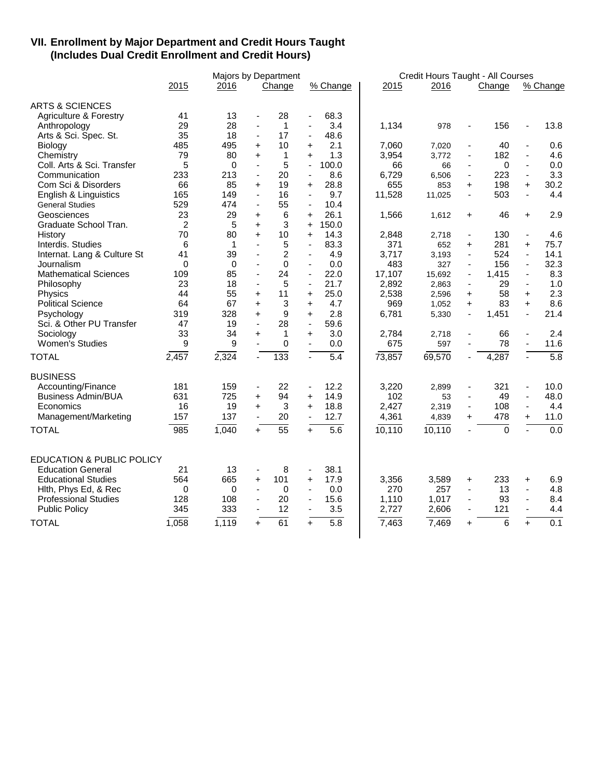## **VII. Enrollment by Major Department and Credit Hours Taught (Includes Dual Credit Enrollment and Credit Hours)**

|                                      |                | <b>Majors by Department</b> |                          |                  |                          |          |        | Credit Hours Taught - All Courses |                          |                |                          |                  |  |  |
|--------------------------------------|----------------|-----------------------------|--------------------------|------------------|--------------------------|----------|--------|-----------------------------------|--------------------------|----------------|--------------------------|------------------|--|--|
|                                      | 2015           | 2016                        |                          | Change           |                          | % Change | 2015   | 2016                              |                          | Change         |                          | % Change         |  |  |
| <b>ARTS &amp; SCIENCES</b>           |                |                             |                          |                  |                          |          |        |                                   |                          |                |                          |                  |  |  |
| <b>Agriculture &amp; Forestry</b>    | 41             | 13                          | $\blacksquare$           | 28               | $\overline{\phantom{a}}$ | 68.3     |        |                                   |                          |                |                          |                  |  |  |
| Anthropology                         | 29             | 28                          |                          | $\mathbf{1}$     | ä,                       | 3.4      | 1,134  | 978                               | ä,                       | 156            |                          | 13.8             |  |  |
| Arts & Sci. Spec. St.                | 35             | 18                          | $\blacksquare$           | 17               | $\blacksquare$           | 48.6     |        |                                   |                          |                |                          |                  |  |  |
| Biology                              | 485            | 495                         | +                        | 10               | +                        | 2.1      | 7,060  | 7,020                             | $\overline{\phantom{a}}$ | 40             | $\blacksquare$           | 0.6              |  |  |
| Chemistry                            | 79             | 80                          | $+$                      | $\mathbf{1}$     | $+$                      | 1.3      | 3,954  | 3,772                             | $\blacksquare$           | 182            | $\blacksquare$           | 4.6              |  |  |
| Coll. Arts & Sci. Transfer           | 5              | $\Omega$                    | $\blacksquare$           | 5                | $\blacksquare$           | 100.0    | 66     | 66                                | $\blacksquare$           | 0              | $\blacksquare$           | 0.0              |  |  |
| Communication                        | 233            | 213                         | $\mathbf{r}$             | 20               | $\blacksquare$           | 8.6      | 6,729  | 6,506                             | $\blacksquare$           | 223            | $\blacksquare$           | 3.3              |  |  |
| Com Sci & Disorders                  | 66             | 85                          | $\ddot{}$                | 19               | $\ddot{}$                | 28.8     | 655    | 853                               | $\ddot{}$                | 198            | $\ddot{}$                | 30.2             |  |  |
| English & Linguistics                | 165            | 149                         | $\blacksquare$           | 16               | $\blacksquare$           | 9.7      | 11,528 | 11,025                            | ä,                       | 503            | $\blacksquare$           | 4.4              |  |  |
| <b>General Studies</b>               | 529            | 474                         | $\overline{\phantom{a}}$ | 55               | $\blacksquare$           | 10.4     |        |                                   |                          |                |                          |                  |  |  |
| Geosciences                          | 23             | 29                          | $\ddot{}$                | 6                | $\ddot{}$                | 26.1     | 1,566  | 1,612                             | $\ddot{}$                | 46             | $\ddot{}$                | 2.9              |  |  |
| Graduate School Tran.                | $\overline{2}$ | 5                           | $+$                      | 3                | $+$                      | 150.0    |        |                                   |                          |                |                          |                  |  |  |
| History                              | 70             | 80                          | $\ddot{}$                | 10               | $\ddot{}$                | 14.3     | 2,848  | 2,718                             | $\blacksquare$           | 130            | $\blacksquare$           | 4.6              |  |  |
| Interdis. Studies                    | 6              | 1                           | $\blacksquare$           | 5                | $\overline{\phantom{a}}$ | 83.3     | 371    | 652                               | $\ddot{}$                | 281            | $\ddot{}$                | 75.7             |  |  |
| Internat. Lang & Culture St          | 41             | 39                          |                          | $\overline{c}$   |                          | 4.9      | 3,717  | 3,193                             | ä,                       | 524            | $\blacksquare$           | 14.1             |  |  |
| Journalism                           | $\Omega$       | $\Omega$                    | $\blacksquare$           | $\mathbf 0$      | $\blacksquare$           | 0.0      | 483    | 327                               | $\overline{\phantom{a}}$ | 156            | $\blacksquare$           | 32.3             |  |  |
| <b>Mathematical Sciences</b>         | 109            | 85                          | $\blacksquare$           | 24               | $\blacksquare$           | 22.0     | 17,107 | 15,692                            | $\blacksquare$           | 1,415          | $\overline{\phantom{a}}$ | 8.3              |  |  |
| Philosophy                           | 23             | 18                          | $\blacksquare$           | 5                | $\blacksquare$           | 21.7     | 2,892  | 2,863                             | $\overline{\phantom{a}}$ | 29             | $\blacksquare$           | 1.0              |  |  |
| Physics                              | 44             | 55                          | $\ddot{}$                | 11               | $\ddot{}$                | 25.0     | 2,538  | 2,596                             | $\ddot{}$                | 58             | $+$                      | 2.3              |  |  |
| <b>Political Science</b>             | 64             | 67                          | $\ddot{}$                | 3                | $\ddot{}$                | 4.7      | 969    | 1,052                             | $\ddot{}$                | 83             | $+$                      | 8.6              |  |  |
| Psychology                           | 319            | 328                         | $\ddot{}$                | 9                | $\ddot{}$                | 2.8      | 6,781  | 5,330                             | $\overline{a}$           | 1,451          | $\omega$                 | 21.4             |  |  |
| Sci. & Other PU Transfer             | 47             | 19                          | $\blacksquare$           | 28               | $\overline{\phantom{a}}$ | 59.6     |        |                                   |                          |                |                          |                  |  |  |
| Sociology                            | 33             | 34                          | $\ddot{}$                | $\mathbf 1$      | $\ddot{}$                | 3.0      | 2,784  | 2,718                             | ä,                       | 66             | $\blacksquare$           | 2.4              |  |  |
| <b>Women's Studies</b>               | 9              | 9                           | $\blacksquare$           | $\mathbf 0$      | $\blacksquare$           | 0.0      | 675    | 597                               | $\blacksquare$           | 78             | $\mathbf{r}$             | 11.6             |  |  |
| <b>TOTAL</b>                         | 2,457          | 2,324                       | Ξ                        | $\overline{133}$ |                          | 5.4      | 73,857 | 69,570                            |                          | 4,287          | $\overline{a}$           | $\overline{5.8}$ |  |  |
| <b>BUSINESS</b>                      |                |                             |                          |                  |                          |          |        |                                   |                          |                |                          |                  |  |  |
| Accounting/Finance                   | 181            | 159                         | $\blacksquare$           | 22               | $\blacksquare$           | 12.2     | 3,220  | 2,899                             | $\blacksquare$           | 321            | $\blacksquare$           | 10.0             |  |  |
| <b>Business Admin/BUA</b>            | 631            | 725                         | +                        | 94               | +                        | 14.9     | 102    | 53                                |                          | 49             | $\blacksquare$           | 48.0             |  |  |
| Economics                            | 16             | 19                          | $+$                      | 3                | $+$                      | 18.8     | 2,427  | 2,319                             | $\blacksquare$           | 108            | $\blacksquare$           | 4.4              |  |  |
| Management/Marketing                 | 157            | 137                         | $\blacksquare$           | 20               | $\blacksquare$           | 12.7     | 4,361  | 4,839                             | $\ddot{}$                | 478            | $\ddot{}$                | 11.0             |  |  |
|                                      |                |                             |                          |                  |                          |          |        |                                   |                          |                |                          |                  |  |  |
| <b>TOTAL</b>                         | 985            | 1,040                       | $+$                      | $\overline{55}$  | $+$                      | 5.6      | 10,110 | 10,110                            | $\blacksquare$           | $\overline{0}$ |                          | 0.0              |  |  |
| <b>EDUCATION &amp; PUBLIC POLICY</b> |                |                             |                          |                  |                          |          |        |                                   |                          |                |                          |                  |  |  |
| <b>Education General</b>             | 21             | 13                          | $\blacksquare$           | 8                | $\blacksquare$           | 38.1     |        |                                   |                          |                |                          |                  |  |  |
| <b>Educational Studies</b>           | 564            | 665                         | +                        | 101              | $\ddot{}$                | 17.9     | 3,356  | 3,589                             | +                        | 233            | +                        | 6.9              |  |  |
| Hith, Phys Ed, & Rec                 | 0              | 0                           | $\blacksquare$           | 0                | $\blacksquare$           | 0.0      | 270    | 257                               | ä,                       | 13             | $\blacksquare$           | 4.8              |  |  |
| <b>Professional Studies</b>          | 128            | 108                         |                          | 20               | $\blacksquare$           | 15.6     | 1,110  | 1,017                             |                          | 93             |                          | 8.4              |  |  |
| <b>Public Policy</b>                 | 345            | 333                         | $\blacksquare$           | 12               | $\blacksquare$           | 3.5      | 2,727  | 2,606                             | $\overline{\phantom{a}}$ | 121            | $\blacksquare$           | 4.4              |  |  |
|                                      |                |                             |                          |                  |                          |          |        |                                   |                          |                |                          |                  |  |  |
| <b>TOTAL</b>                         | 1,058          | 1,119                       | $+$                      | 61               | $+$                      | 5.8      | 7,463  | 7,469                             | $\ddot{}$                | 6              | $+$                      | $\overline{0.1}$ |  |  |